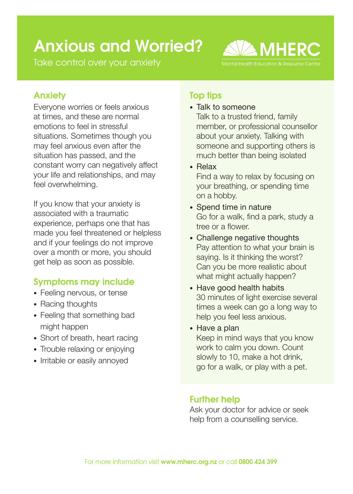# Anxious and Worried?

Take control over your anxiety



## Anxiety

Everyone worries or feels anxious at times, and these are normal emotions to feel in stressful situations. Sometimes though you may feel anxious even after the situation has passed, and the constant worry can negatively affect your life and relationships, and may feel overwhelming.

If you know that your anxiety is associated with a traumatic experience, perhaps one that has made you feel threatened or helpless and if your feelings do not improve over a month or more, you should get help as soon as possible.

# Symptoms may include

- Feeling nervous, or tense
- Racing thoughts
- Feeling that something bad might happen
- Short of breath, heart racing
- Trouble relaxing or enjoying
- Irritable or easily annoyed

## Top tips

• Talk to someone

 Talk to a trusted friend, family member, or professional counsellor about your anxiety. Talking with someone and supporting others is much better than being isolated

• Relax

 Find a way to relax by focusing on your breathing, or spending time on a hobby.

- Spend time in nature Go for a walk, find a park, study a tree or a flower.
- Challenge negative thoughts Pay attention to what your brain is saying. Is it thinking the worst? Can you be more realistic about what might actually happen?
- Have good health habits 30 minutes of light exercise several times a week can go a long way to help you feel less anxious.

• Have a plan

 Keep in mind ways that you know work to calm you down. Count slowly to 10, make a hot drink, go for a walk, or play with a pet.

## Further help

Ask your doctor for advice or seek help from a counselling service.